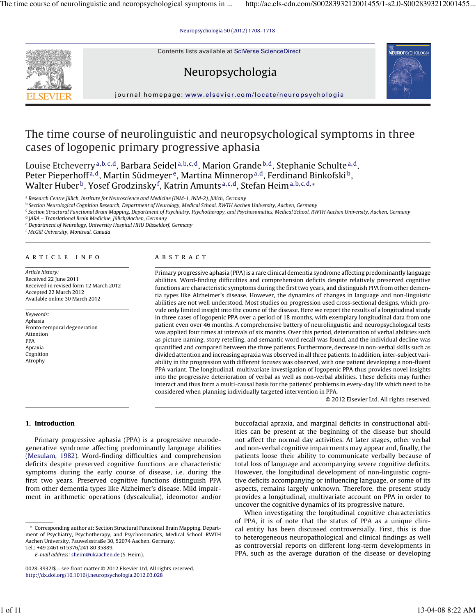Neuropsychologia 50 (2012) 1708–1718

Contents lists available at SciVerse ScienceDirect



# Neuropsychologia



journal homepage: www.elsevier.com/locate/neuropsychologia

# The time course of neurolinguistic and neuropsychological symptoms in three cases of logopenic primary progressive aphasia

Louise Etcheverry<sup>a,b,c,d</sup>, Barbara Seidel<sup>a,b,c,d</sup>, Marion Grande<sup>b,d</sup>, Stephanie Schulte<sup>a,d</sup>, Peter Pieperhoff<sup>a,d</sup>, Martin Südmeyer<sup>e</sup>, Martina Minnerop<sup>a,d</sup>, Ferdinand Binkofski<sup>b</sup>, Walter Huber<sup>b</sup>, Yosef Grodzinsky<sup>f</sup>, Katrin Amunts<sup>a,c,d</sup>, Stefan Heim<sup>a,b,c,d,</sup>\*

a Research Centre Jülich, Institute for Neuroscience and Medicine (INM-1, INM-2), Jülich, Germany

b Section Neurological Cognition Research, Department of Neurology, Medical School, RWTH Aachen University, Aachen, Germany

<sup>c</sup> Section Structural Functional Brain Mapping, Department of Psychiatry, Psychotherapy, and Psychosomatics, Medical School, RWTH Aachen University, Aachen, Germany

<sup>d</sup> JARA – Translational Brain Medicine, Jülich/Aachen, Germany

<sup>e</sup> Department of Neurology, University Hospital HHU Düsseldorf, Germany

<sup>f</sup> McGill University, Montreal, Canada

#### a r t i c l e i n f o

Article history: Received 22 June 2011 Received in revised form 12 March 2012 Accepted 22 March 2012 Available online 30 March 2012

#### Keywords: Aphasia Fronto-temporal degeneration Attention PPA Apraxia Cognition Atrophy

# a b s t r a c t

Primary progressive aphasia (PPA) is a rare clinical dementia syndrome affecting predominantly language abilities. Word-finding difficulties and comprehension deficits despite relatively preserved cognitive functions are characteristic symptoms during the first two years, and distinguish PPA from other dementia types like Alzheimer's disease. However, the dynamics of changes in language and non-linguistic abilities are not well understood. Most studies on progression used cross-sectional designs, which provide only limited insight into the course of the disease. Here we report the results of a longitudinal study in three cases of logopenic PPA over a period of 18 months, with exemplary longitudinal data from one patient even over 46 months. A comprehensive battery of neurolinguistic and neuropsychological tests was applied four times at intervals of six months. Over this period, deterioration of verbal abilities such as picture naming, story retelling, and semantic word recall was found, and the individual decline was quantified and compared between the three patients. Furthermore, decrease in non-verbal skills such as divided attention and increasing apraxia was observed in all three patients. In addition, inter-subject variability in the progression with different focuses was observed, with one patient developing a non-fluent PPA variant. The longitudinal, multivariate investigation of logopenic PPA thus provides novel insights into the progressive deterioration of verbal as well as non-verbal abilities. These deficits may further interact and thus form a multi-causal basis for the patients' problems in every-day life which need to be considered when planning individually targeted intervention in PPA.

© 2012 Elsevier Ltd. All rights reserved.

# 1. Introduction

Primary progressive aphasia (PPA) is a progressive neurodegenerative syndrome affecting predominantly language abilities (Mesulam, 1982). Word-finding difficulties and comprehension deficits despite preserved cognitive functions are characteristic symptoms during the early course of disease, i.e. during the first two years. Preserved cognitive functions distinguish PPA from other dementia types like Alzheimer's disease. Mild impairment in arithmetic operations (dyscalculia), ideomotor and/or buccofacial apraxia, and marginal deficits in constructional abilities can be present at the beginning of the disease but should not affect the normal day activities. At later stages, other verbal and non-verbal cognitive impairments may appear and, finally, the patients loose their ability to communicate verbally because of total loss of language and accompanying severe cognitive deficits. However, the longitudinal development of non-linguistic cognitive deficits accompanying or influencing language, or some of its aspects, remains largely unknown. Therefore, the present study provides a longitudinal, multivariate account on PPA in order to uncover the cognitive dynamics of its progressive nature.

When investigating the longitudinal cognitive characteristics of PPA, it is of note that the status of PPA as a unique clinical entity has been discussed controversially. First, this is due to heterogeneous neuropathological and clinical findings as well as controversial reports on different long-term developments in PPA, such as the average duration of the disease or developing

Corresponding author at: Section Structural Functional Brain Mapping, Department of Psychiatry, Psychotherapy, and Psychosomatics, Medical School, RWTH Aachen University, Pauwelsstraße 30, 52074 Aachen, Germany.

Tel.: +49 2461 615376/241 80 35889. E-mail address: sheim@ukaachen.de (S. Heim).

<sup>0028-3932/\$</sup> – see front matter © 2012 Elsevier Ltd. All rights reserved. http://dx.doi.org/10.1016/j.neuropsychologia.2012.03.028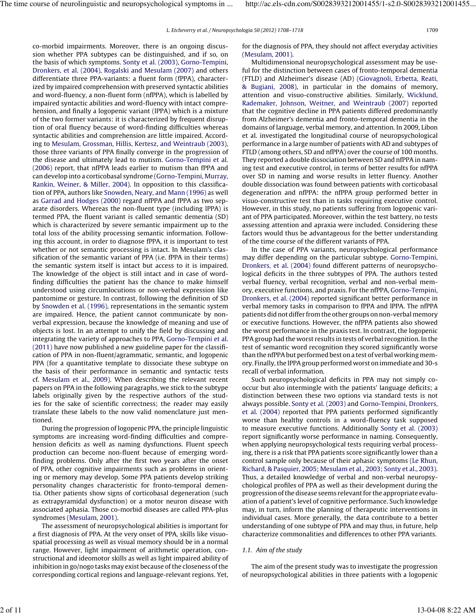co-morbid impairments. Moreover, there is an ongoing discussion whether PPA subtypes can be distinguished, and if so, on the basis of which symptoms. Sonty et al. (2003), Gorno-Tempini, Dronkers, et al. (2004), Rogalski and Mesulam (2007) and others differentiate three PPA-variants: a fluent form (fPPA), characterized by impaired comprehension with preserved syntactic abilities and word-fluency, a non-fluent form (nfPPA), which is labelled by impaired syntactic abilities and word-fluency with intact comprehension, and finally a logopenic variant (lPPA) which is a mixture of the two former variants: it is characterized by frequent disruption of oral fluency because of word-finding difficulties whereas syntactic abilities and comprehension are little impaired. According to Mesulam, Grossman, Hillis, Kertesz, and Weintraub (2003), those three variants of PPA finally converge in the progression of the disease and ultimately lead to mutism. Gorno-Tempini et al. (2006) report, that nfPPA leads earlier to mutism than fPPA and can develop into a corticobasal syndrome (Gorno-Tempini, Murray, Rankin, Weiner, & Miller, 2004). In opposition to this classification of PPA, authors like Snowden, Neary, and Mann (1996) as well as Garrad and Hodges (2000) regard nfPPA and fPPA as two separate disorders. Whereas the non-fluent type (including lPPA) is termed PPA, the fluent variant is called semantic dementia (SD) which is characterized by severe semantic impairment up to the total loss of the ability processing semantic information. Following this account, in order to diagnose fPPA, it is important to test whether or not semantic processing is intact. In Mesulam's classification of the semantic variant of PPA (i.e. fPPA in their terms) the semantic system itself is intact but access to it is impaired. The knowledge of the object is still intact and in case of wordfinding difficulties the patient has the chance to make himself understood using circumlocutions or non-verbal expression like pantomime or gesture. In contrast, following the definition of SD by Snowden et al. (1996), representations in the semantic system are impaired. Hence, the patient cannot communicate by nonverbal expression, because the knowledge of meaning and use of objects is lost. In an attempt to unify the field by discussing and integrating the variety of approaches to PPA, Gorno-Tempini et al. (2011) have now published a new guideline paper for the classification of PPA in non-fluent/agrammatic, semantic, and logopenic PPA (for a quantitative template to dissociate these subtype on the basis of their performance in semantic and syntactic tests cf. Mesulam et al., 2009). When describing the relevant recent papers on PPA in the following paragraphs, we stick to the subtype labels originally given by the respective authors of the studies for the sake of scientific correctness; the reader may easily translate these labels to the now valid nomenclature just mentioned.

During the progression of logopenic PPA, the principle linguistic symptoms are increasing word-finding difficulties and comprehension deficits as well as naming dysfunctions. Fluent speech production can become non-fluent because of emerging wordfinding problems. Only after the first two years after the onset of PPA, other cognitive impairments such as problems in orienting or memory may develop. Some PPA patients develop striking personality changes characteristic for fronto-temporal dementia. Other patients show signs of corticobasal degeneration (such as extrapyramidal dysfunction) or a motor neuron disease with associated aphasia. Those co-morbid diseases are called PPA-plus syndromes (Mesulam, 2001).

The assessment of neuropsychological abilities is important for a first diagnosis of PPA. At the very onset of PPA, skills like visuospatial processing as well as visual memory should be in a normal range. However, light impairment of arithmetic operation, constructional and ideomotor skills as well as light impaired ability of inhibition in go/nogo tasks may exist because of the closeness of the corresponding cortical regions and language-relevant regions. Yet,

for the diagnosis of PPA, they should not affect everyday activities (Mesulam, 2001).

Multidimensional neuropsychological assessment may be useful for the distinction between cases of fronto-temporal dementia (FTLD) and Alzheimer's disease (AD) (Giovagnoli, Erbetta, Reati, & Bugiani, 2008), in particular in the domains of memory, attention and visuo-constructive abilities. Similarly, Wicklund, Rademaker, Johnson, Weitner, and Weintraub (2007) reported that the cognitive decline in PPA patients differed predominantly from Alzheimer's dementia and fronto-temporal dementia in the domains of language, verbal memory, and attention. In 2009, Libon et al. investigated the longitudinal course of neuropsychological performance in a large number of patients with AD and subtypes of FTLD (among others, SD and nfPPA) over the course of 100 months. They reported a double dissociation between SD and nfPPA in naming test and executive control, in terms of better results for nfPPA over SD in naming and worse results in letter fluency. Another double dissociation was found between patients with corticobasal degeneration and nfPPA: the nfPPA group performed better in visuo-constructive test than in tasks requiring executive control. However, in this study, no patients suffering from logopenic variant of PPA participated. Moreover, within the test battery, no tests assessing attention and apraxia were included. Considering these factors would thus be advantageous for the better understanding of the time course of the different variants of PPA.

In the case of PPA variants, neuropsychological performance may differ depending on the particular subtype. Gorno-Tempini, Dronkers, et al. (2004) found different patterns of neuropsychological deficits in the three subtypes of PPA. The authors tested verbal fluency, verbal recognition, verbal and non-verbal memory, executive functions, and praxis. For the nfPPA, Gorno-Tempini, Dronkers, et al. (2004) reported significant better performance in verbal memory tasks in comparison to fPPA and lPPA. The nfPPA patients did not differ from the other groups on non-verbal memory or executive functions. However, the nfPPA patients also showed the worst performance in the praxis test. In contrast, the logopenic PPA group had the worst results in tests of verbal recognition. In the test of semantic word recognition they scored significantly worse than the nfPPA but performed best on a test of verbal working memory. Finally, the IPPA group performed worst on immediate and 30-s recall of verbal information.

Such neuropsychological deficits in PPA may not simply cooccur but also intermingle with the patients' language deficits; a distinction between these two options via standard tests is not always possible. Sonty et al. (2003) and Gorno-Tempini, Dronkers, et al. (2004) reported that PPA patients performed significantly worse than healthy controls in a word-fluency task supposed to measure executive functions. Additionally Sonty et al. (2003) report significantly worse performance in naming. Consequently, when applying neuropsychological tests requiring verbal processing, there is a risk that PPA patients score significantly lower than a control sample only because of their aphasic symptoms (Le Rhun, Richard, & Pasquier, 2005; Mesulam et al., 2003; Sonty et al., 2003). Thus, a detailed knowledge of verbal and non-verbal neuropsychological profiles of PPA as well as their development during the progression of the disease seems relevant for the appropriate evaluation of a patient's level of cognitive performance. Such knowledge may, in turn, inform the planning of therapeutic interventions in individual cases. More generally, the data contribute to a better understanding of one subtype of PPA and may thus, in future, help characterize commonalities and differences to other PPA variants.

# 1.1. Aim of the study

The aim of the present study was to investigate the progression of neuropsychological abilities in three patients with a logopenic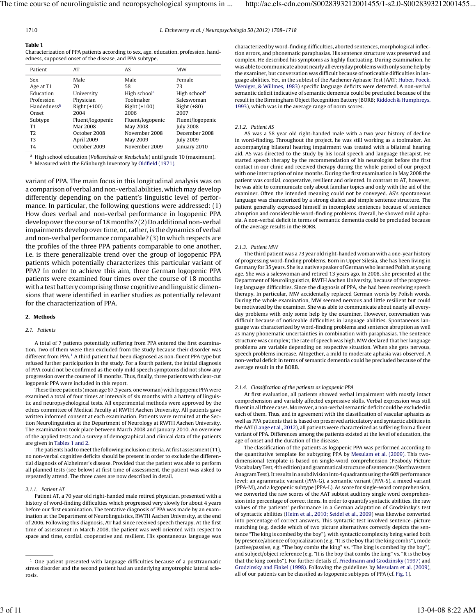# Table 1

Characterization of PPA patients according to sex, age, education, profession, handedness, supposed onset of the disease, and PPA subtype.

| Patient                 | AT               | AS.                      | <b>MW</b>                |
|-------------------------|------------------|--------------------------|--------------------------|
| Sex                     | Male             | Male                     | Female                   |
| Age at T1               | 70               | 58                       | 73                       |
| Education               | University       | High school <sup>a</sup> | High school <sup>a</sup> |
| Profession              | Physician        | Toolmaker                | Saleswoman               |
| Handedness <sup>b</sup> | $Right (+100)$   | $Right(+100)$            | $Right (+80)$            |
| Onset                   | 2004             | 2006                     | 2007                     |
| Subtype                 | Fluent/logopenic | Fluent/logopenic         | Fluent/logopenic         |
| T1                      | Mar 2008         | <b>May 2008</b>          | <b>July 2008</b>         |
| T <sub>2</sub>          | October 2008     | November 2008            | December 2008            |
| T3                      | April 2009       | May 2009                 | <b>July 2009</b>         |
| T4                      | October 2009     | November 2009            | January 2010             |

<sup>a</sup> High school education (Volksschule or Realschule) until grade 10 (maximum). **b** Measured with the Edinburgh Inventory by Oldfield (1971).

variant of PPA. The main focus in this longitudinal analysis was on a comparison of verbal and non-verbal abilities, which may develop differently depending on the patient's linguistic level of performance. In particular, the following questions were addressed: (1) How does verbal and non-verbal performance in logopenic PPA develop over the course of 18 months? (2) Do additional non-verbal impairments develop over time, or, rather, is the dynamics of verbal and non-verbal performance comparable? (3)In which respects are the profiles of the three PPA patients comparable to one another, i.e. is there generalizable trend over the group of logopenic PPA patients which potentially characterizes this particular variant of PPA? In order to achieve this aim, three German logopenic PPA patients were examined four times over the course of 18 months with a test battery comprising those cognitive and linguistic dimensions that were identified in earlier studies as potentially relevant for the characterization of PPA.

#### 2. Methods

#### 2.1. Patients

A total of 7 patients potentially suffering from PPA entered the first examination. Two of them were then excluded from the study because their disorder was different from PPA. <sup>1</sup> A third patient had been diagnosed as non-fluent PPA type but refused further participation in the study. For a fourth patient, the initial diagnosis of PPA could not be confirmed as the only mild speech symptoms did not show any progression over the course of 18 months. Thus, finally, three patients with clear-cut logopenic PPA were included in this report.

These three patients (mean age 67.3 years, one woman) with logopenic PPA were examined a total of four times at intervals of six months with a battery of linguistic and neuropsychological tests. All experimental methods were approved by the ethics committee of Medical Faculty at RWTH Aachen University. All patients gave written informed consent at each examination. Patients were recruited at the Section Neurolinguistics at the Department of Neurology at RWTH Aachen University. The examinations took place between March 2008 and January 2010. An overview of the applied tests and a survey of demographical and clinical data of the patients are given in Tables 1 and 2.

The patients had to meet the following inclusion criteria. At first assessment (T1), no non-verbal cognitive deficits should be present in order to exclude the differential diagnosis of Alzheimer's disease. Provided that the patient was able to perform all planned tests (see below) at first time of assessment, the patient was asked to repeatedly attend. The three cases are now described in detail.

#### 2.1.1. Patient AT

Patient AT, a 70 year old right-handed male retired physician, presented with a history of word-finding difficulties which progressed very slowly for about 4 years before our first examination. The tentative diagnosis of PPA was made by an examination at the Department of Neurolinguistics, RWTH Aachen University, at the end of 2006. Following this diagnosis, AT had since received speech therapy. At the first time of assessment in March 2008, the patient was well oriented with respect to space and time, cordial, cooperative and resilient. His spontaneous language was characterized by word-finding difficulties, aborted sentences, morphological inflection errors, and phonematic paraphasias. His sentence structure was preserved and complex. He described his symptoms as highly fluctuating. During examination, he was able to communicate about nearly all everyday problems with only some help by the examiner, but conversation was difficult because of noticeable difficulties in language abilities. Yet, in the subtest of the Aachener Aphasie Test (AAT; Huber, Poeck, Weniger, & Willmes, 1983) specific language deficits were detected. A non-verbal semantic deficit indicative of semantic dementia could be precluded because of the result in the Birmingham Object Recognition Battery (BORB; Riddoch & Humphreys, 1993), which was in the average range of norm scores.

#### 2.1.2. Patient AS

AS was a 58 year old right-handed male with a two year history of decline in word-finding. Throughout the project, he was still working as a toolmaker. An accompanying bilateral hearing impairment was treated with a bilateral hearing aid. AS was directed to the study by his local speech and language therapist. He started speech therapy by the recommendation of his neurologist before the first contact in our clinic and received therapy during the whole period of our project with one interruption of nine months. During the first examination in May 2008 the patient was cordial, cooperative, resilient and oriented. In contrast to AT, however, he was able to communicate only about familiar topics and only with the aid of the examiner. Often the intended meaning could not be conveyed. AS's spontaneous language was characterized by a strong dialect and simple sentence structure. The patient generally expressed himself in incomplete sentences because of sentence abruption and considerable word-finding problems. Overall, he showed mild aphasia. A non-verbal deficit in terms of semantic dementia could be precluded because of the average results in the BORB.

#### 2.1.3. Patient MW

The third patient was a 73 year old right-handed woman with a one-year history of progressing word-finding problems. Born in Upper Silesia, she has been living in Germany for 35 years. She is a native speaker of German who learned Polish at young age. She was a saleswoman and retired 13 years ago. In 2008, she presented at the Department of Neurolinguistics, RWTH Aachen University, because of the progressing language difficulties. Since the diagnosis of PPA, she had been receiving speech therapy. In particular, MW accidentally replaced German words by Polish words. During the whole examination, MW seemed nervous and little resilient but could be motivated by the examiner. She was able to communicate about nearly all everyday problems with only some help by the examiner. However, conversation was difficult because of noticeable difficulties in language abilities. Spontaneous language was characterized by word-finding problems and sentence abruption as well as many phonematic uncertainties in combination with paraphasias. The sentence structure was complex; the rate of speech was high. MW declared that her language problems are variable depending on respective situation. When she gets nervous, speech problems increase. Altogether, a mild to moderate aphasia was observed. A non-verbal deficit in terms of semantic dementia could be precluded because of the average result in the BORB.

# 2.1.4. Classification of the patients as logopenic PPA

At first evaluation, all patients showed verbal impairment with mostly intact comprehension and variably affected expressive skills. Verbal expression was still fluent in all three cases. Moreover, a non-verbal semantic deficit could be excluded in each of them. Thus, and in agreement with the classification of vascular aphasics as well as PPA patients that is based on preserved articulatory and syntactic abilities in the AAT (Lange et al., 2012), all patients were characterized as suffering from a fluent variant of PPA. Differences among the patients existed at the level of education, the age of onset and the duration of the disease.

The classification of the patients as logopenic PPA was performed according to the quantitative template for subtyping PPA by Mesulam et al. (2009). This twodimensional template is based on single-word comprehension (Peabody Picture Vocabulary Test, 4th edition) and grammatical structure of sentences (Northwestern AnagramTest).It results in a subdivision into 4 quadrants using the 60%performance level: an agrammatic variant (PPA-G), a semantic variant (PPA-S), a mixed variant (PPA-M), and a logopenic subtype (PPA-L). As score for single-word comprehension, we converted the raw scores of the AAT subtest auditory single word comprehension into percentage of correct items. In order to quantify syntactic abilities, the raw values of the patients' performance in a German adaptation of Grodzinsky's test of syntactic abilities (Heim et al., 2010; Seidel et al., 2009) was likewise converted into percentage of correct answers. This syntactic test involved sentence–picture matching (e.g. decide which of two picture alternatives correctly depicts the sentence "The king is combed by the boy"), with syntactic complexity being varied both by presence/absence of topicalization (e.g. "It is the boy that the king combs"), mode (active/passive, e.g. "The boy combs the king" vs. "The king is combed by the boy"), and subject/object reference (e.g. "It is the boy that combs the king" vs. "It is the boy that the king combs"). For further details cf. Friedmann and Grodzinsky (1997) and Grodzinsky and Finkel (1998). Following the guidelines by Mesulam et al. (2009), all of our patients can be classified as logopenic subtypes of PPA (cf. Fig. 1).

 $1$  One patient presented with language difficulties because of a posttraumatic stress disorder and the second patient had an underlying amyotrophic lateral sclerosis.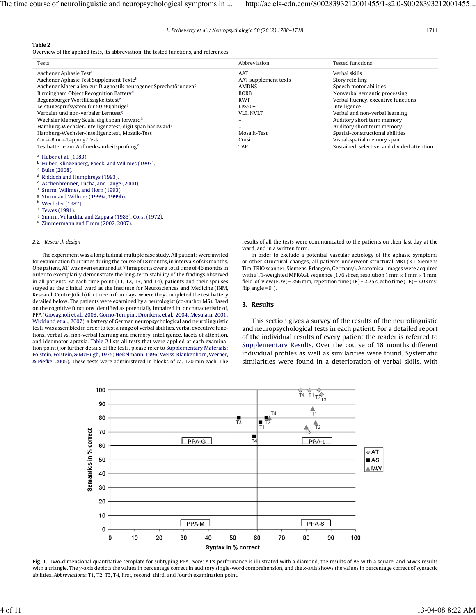#### Table 2

Overview of the applied tests, its abbreviation, the tested functions, and references.

| Tests                                                                       | Abbreviation         | <b>Tested functions</b>                     |
|-----------------------------------------------------------------------------|----------------------|---------------------------------------------|
| Aachener Aphasie Test <sup>a</sup>                                          | AAT                  | Verbal skills                               |
| Aachener Aphasie Test Supplement Texteb                                     | AAT supplement texts | Story retelling                             |
| Aachener Materialien zur Diagnostik neurogener Sprechstörungen <sup>c</sup> | <b>AMDNS</b>         | Speech motor abilities                      |
| Birmingham Object Recognition Battery <sup>d</sup>                          | <b>BORB</b>          | Nonverbal semantic processing               |
| Regensburger Wortflüssigkeitsteste                                          | <b>RWT</b>           | Verbal fluency, executive functions         |
| Leistungsprüfsystem für 50-90jährigef                                       | $LPS50+$             | Intelligence                                |
| Verbaler und non-verbaler Lerntest <sup>g</sup>                             | <b>VLT. NVLT</b>     | Verbal and non-verbal learning              |
| Wechsler Memory Scale, digit span forwardh                                  |                      | Auditory short term memory                  |
| Hamburg-Wechsler-Intelligenztest, digit span backward <sup>i</sup>          |                      | Auditory short term memory                  |
| Hamburg-Wechsler-Intelligenztest, Mosaik-Test                               | Mosaik-Test          | Spatial-constructional abilities            |
| Corsi-Block-Tapping-Test                                                    | Corsi                | Visual-spatial memory span                  |
| Testbatterie zur Aufmerksamkeitsprüfung <sup>k</sup>                        | <b>TAP</b>           | Sustained, selective, and divided attention |

<sup>a</sup> Huber et al. (1983).

<sup>b</sup> Huber, Klingenberg, Poeck, and Willmes (1993).

 $c$  Bülte (2008).

- Riddoch and Humphreys (1993).
- Aschenbrenner, Tucha, and Lange (2000).
- <sup>f</sup> Sturm, Willmes, and Horn (1993).
- <sup>g</sup> Sturm and Willmes (1999a, 1999b).
- <sup>h</sup> Wechsler (1987).

Smirni, Villardita, and Zappala (1983), Corsi (1972).

<sup>k</sup> Zimmermann and Fimm (2002, 2007).

#### 2.2. Research design

The experiment was a longitudinal multiple case study. All patients were invited for examination four times during the course of 18 months, in intervals of six months. One patient, AT, was even examined at 7 timepoints over a total time of 46 months in order to exemplarily demonstrate the long-term stability of the findings observed in all patients. At each time point (T1, T2, T3, and T4), patients and their spouses stayed at the clinical ward at the Institute for Neurosciences and Medicine (INM, Research Centre Jülich) for three to four days, where they completed the test battery detailed below. The patients were examined by a neurologist (co-author MS). Based on the cognitive functions identified as potentially impaired in, or characteristic of, PPA (Giovagnoli et al., 2008; Gorno-Tempini, Dronkers, et al., 2004; Mesulam, 2001; Wicklund et al., 2007), a battery of German neuropsychological and neurolinguistic tests was assembled in order to test a range of verbal abilities, verbal executive functions, verbal vs. non-verbal learning and memory, intelligence, facets of attention, and ideomotor apraxia. Table 2 lists all tests that were applied at each examination point (for further details of the tests, please refer to Supplementary Materials; Folstein, Folstein, & McHugh, 1975; Heßelmann, 1996; Weiss-Blankenhorn, Werner, & Piefke, 2005). These tests were administered in blocks of ca. 120 min each. The results of all the tests were communicated to the patients on their last day at the ward, and in a written form.

In order to exclude a potential vascular aetiology of the aphasic symptoms or other structural changes, all patients underwent structural MRI (3T Siemens Tim-TRIO scanner, Siemens, Erlangen, Germany). Anatomical images were acquired with a T1-weighted MPRAGE sequence (176 slices, resolution 1 mm  $\times$  1 mm  $\times$  1 mm, field-of-view (FOV) = 256 mm, repetition time (TR) = 2.25 s, echo time (TE) = 3.03 ms; flip angle =  $9^\circ$ ).

#### 3. Results

This section gives a survey of the results of the neurolinguistic and neuropsychological tests in each patient. For a detailed report of the individual results of every patient the reader is referred to Supplementary Results. Over the course of 18 months different individual profiles as well as similarities were found. Systematic similarities were found in a deterioration of verbal skills, with



Fig. 1. Two-dimensional quantitative template for subtyping PPA. Note: AT's performance is illustrated with a diamond, the results of AS with a square, and MW's results with a triangle. The y-axis depicts the values in percentage correct in auditory single-word comprehension, and the x-axis shows the values in percentage correct of syntactic abilities. Abbreviations: T1, T2, T3, T4, first, second, third, and fourth examination point.

<sup>i</sup> Tewes (1991).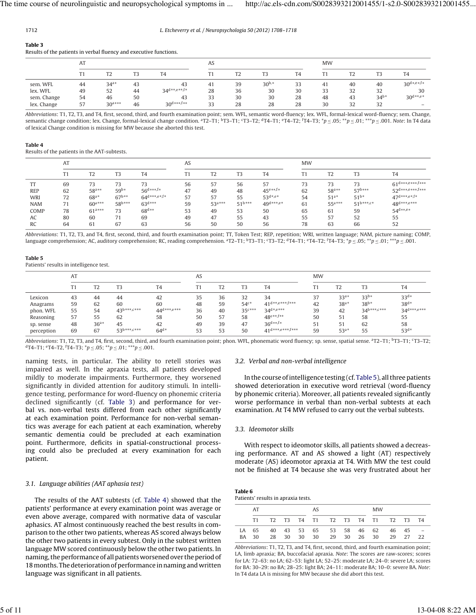# Table 3

| Results of the patients in verbal fluency and executive functions. |  |  |  |
|--------------------------------------------------------------------|--|--|--|
|                                                                    |  |  |  |

|             | AT |                |                |                     | AS |                |                |                |    | <b>MW</b>      |                |                 |  |
|-------------|----|----------------|----------------|---------------------|----|----------------|----------------|----------------|----|----------------|----------------|-----------------|--|
|             | T1 | T <sub>2</sub> | T <sub>3</sub> | T <sub>4</sub>      | T1 | T <sub>2</sub> | T <sub>3</sub> | T <sub>4</sub> | T1 | T <sub>2</sub> | T <sub>3</sub> | T <sub>4</sub>  |  |
| sem. WFL    | 44 | $34^{a*}$      | 43             | 43                  | 41 | 39             | $30^{b,*}$     | 33             | 41 | 40             | 40             | $30^{d*,e*,f*}$ |  |
| lex. WFL    | 49 | 52             | 44             | $34^{d**, e**, f*}$ | 28 | 36             | 30             | 30             | 33 | 32             | 32             | 30              |  |
| sem. Change | 54 | 46             | 50             | 43                  | 33 | 30             | 30             | 28             | 48 | 43             | $34^{b*}$      | $30^{d**, e*}$  |  |
| lex. Change | 57 | $30^{a***}$    | 46             | $30^{d***,f**}$     | 33 | 28             | 28             | 28             | 30 | 32             | 32             | $\qquad \qquad$ |  |

Abbreviations: T1, T2, T3, and T4, first, second, third, and fourth examination point; sem. WFL, semantic word-fluency; lex. WFL, formal-lexical word-fluency; sem. Change, semantic change condition; lex. Change, formal-lexical change condition. <sup>a</sup>T2–T1; <sup>b</sup>T3–T1; <sup>c</sup>T3–T2; <sup>d</sup>T4–T1; <sup>e</sup>T4–T2; <sup>f</sup>T4–T3; \* $p \le .05$ ; \*\* $p \le .05$ ; \*\* $p \le .01$ ; \*\*\* $p \le .001$ . *Note*: In T4 data of lexical Change condition is missing for MW because she aborted this test.

#### Table 4

Results of the patients in the AAT-subtests.

|            | AT |                |            |                     | AS |                |             |                |    | <b>MW</b>      |                 |                         |  |
|------------|----|----------------|------------|---------------------|----|----------------|-------------|----------------|----|----------------|-----------------|-------------------------|--|
|            | Τ1 | T <sub>2</sub> | T3         | T <sub>4</sub>      |    | T <sub>2</sub> | T3          | T <sub>4</sub> | T1 | T <sub>2</sub> | T3              | T <sub>4</sub>          |  |
| TT         | 69 | 73             | 73         | 73                  | 56 | 57             | 56          | 57             | 73 | 73             | 73              | $61^{d***, e***, f***}$ |  |
| <b>REP</b> | 62 | $58^{a**}$     | $59^{b*}$  | $56^{d***,f*}$      | 47 | 49             | 48          | $45^{e**, f*}$ | 62 | $58^{a**}$     | $57^{b***}$     | $52^{d***,e***,f***}$   |  |
| WRI        | 72 | $68^{a*}$      | $67^{b**}$ | $64^{d***, e*, f*}$ | 57 | 57             | 55          | $53^{d*,e*}$   | 54 | $51^{a*}$      | $51^{b*}$       | $47^{d***, e*, f*}$     |  |
| <b>NAM</b> | 71 | $60^{a***}$    | 58b***     | $63^{d***}$         | 59 | $53^{a***}$    | $51^{b***}$ | $49^{d***,e*}$ | 61 | $55^{a***}$    | $51^{b***, c*}$ | $48^{d***,e***}$        |  |
| COMP       | 78 | $61^{a***}$    | 73         | $68^{d**}$          | 53 | 49             | 53          | 50             | 65 | 61             | 59              | $54^{d**, e*}$          |  |
| AC         | 80 | 60             | 71         | 69                  | 49 | 47             | 55          | 43             | 55 | 57             | 52              | 55                      |  |
| <b>RC</b>  | 64 | 61             | 67         | 63                  | 56 | 50             | 50          | 56             | 78 | 63             | 66              | 52                      |  |

Abbreviations: T1, T2, T3, and T4, first, second, third, and fourth examination point; TT, Token Test; REP, repetition; WRI, written language; NAM, picture naming; COMP, language comprehension; AC, auditory comprehension; RC, reading comprehension. <sup>a</sup>T2–T1; <sup>b</sup>T3–T1; <sup>c</sup>T3–T2; <sup>d</sup>T4–T1; <sup>e</sup>T4–T2; <sup>r</sup>T4–T3; \* $p \le 0.05$ ; \*\* $p \le 0.01$ ; \*\*\* $p \le 0.01$ .

Patients' results in intelligence test.

|            | AT |           |                  |                   |                | AS             |                |                         |    | <b>MW</b>       |                  |                  |  |
|------------|----|-----------|------------------|-------------------|----------------|----------------|----------------|-------------------------|----|-----------------|------------------|------------------|--|
|            | T1 | T2        | T <sub>3</sub>   | T <sub>4</sub>    | T <sub>1</sub> | T <sub>2</sub> | T <sub>3</sub> | T <sub>4</sub>          | T1 | T <sub>2</sub>  | T <sub>3</sub>   | T <sub>4</sub>   |  |
| Lexicon    | 43 | 44        | 44               | 42                | 35             | 36             | 32             | 34                      | 37 | 33 <sup>a</sup> | $33^{b*}$        | $33^{d*}$        |  |
| Anagrams   | 59 | 62        | 60               | 60                | 48             | 59             | $54c*$         | $41^{d**, e***, f***}$  | 42 | $38^{a*}$       | $38^{b*}$        | $38^{d*}$        |  |
| phon. WFL  | 55 | 54        | $43^{b***,c***}$ | $44^{d***, e***}$ | 36             | 40             | $35c***$       | $34^{d*,e***}$          | 39 | 42              | $34^{b***,c***}$ | $34^{d***,e***}$ |  |
| Reasoning  | 57 | 55        | 62               | 58                | 50             | 57             | 58             | $48e^{**,f**}$          | 50 | 51              | 58               | 55               |  |
| sp. sense  | 48 | $36^{a*}$ | 45               | 42                | 49             | 39             | 47             | $36^{d**,f*}$           | 51 | 51              | 62               | 58               |  |
| perception | 69 | 67        | $53^{b***,c***}$ | $64^{d*}$         | 53             | 53             | 50             | $41^{d***, e***, f***}$ | 59 | 53 <sup>a</sup> | 55               | $53^{d*}$        |  |

Abbreviations: T1, T2, T3, and T4, first, second, third, and fourth examination point; phon. WFL, phonematic word fluency; sp. sense, spatial sense. <sup>a</sup>T2-T1; <sup>b</sup>T3-T1; <sup>c</sup>T3-T2;  ${}^{d}$ T4–T1;  ${}^{e}$ T4–T2, <sup>f</sup>T4–T3;  ${}^{*}p \leq .05$ ;  ${}^{**}p \leq .01$ ;  ${}^{***}p \leq .001$ .

naming tests, in particular. The ability to retell stories was impaired as well. In the apraxia tests, all patients developed mildly to moderate impairments. Furthermore, they worsened significantly in divided attention for auditory stimuli. In intelligence testing, performance for word-fluency on phonemic criteria declined significantly (cf. Table 3) and performance for verbal vs. non-verbal tests differed from each other significantly at each examination point. Performance for non-verbal semantics was average for each patient at each examination, whereby semantic dementia could be precluded at each examination point. Furthermore, deficits in spatial-constructional processing could also be precluded at every examination for each patient.

# 3.1. Language abilities (AAT aphasia test)

The results of the AAT subtests (cf. Table 4) showed that the patients' performance at every examination point was average or even above average, compared with normative data of vascular aphasics. AT almost continuously reached the best results in comparison to the other two patients, whereas AS scored always below the other two patients in every subtest. Only in the subtest written language MW scored continuously below the other two patients. In naming, the performance of all patients worsened over the period of 18 months. The deterioration of performance in naming and written language was significant in all patients.

#### 3.2. Verbal and non-verbal intelligence

In the course of intelligence testing (cf. Table 5), all three patients showed deterioration in executive word retrieval (word-fluency by phonemic criteria). Moreover, all patients revealed significantly worse performance in verbal than non-verbal subtests at each examination. At T4 MW refused to carry out the verbal subtests.

#### 3.3. Ideomotor skills

With respect to ideomotor skills, all patients showed a decreasing performance. AT and AS showed a light (AT) respectively moderate (AS) ideomotor apraxia at T4. With MW the test could not be finished at T4 because she was very frustrated about her

| Table 6                            |  |  |
|------------------------------------|--|--|
| Patients' results in anraxia tests |  |  |

| AT |                                       |  |  |  | AS |                         |  | <b>MW</b> |                                     |       |    |  |
|----|---------------------------------------|--|--|--|----|-------------------------|--|-----------|-------------------------------------|-------|----|--|
|    |                                       |  |  |  |    |                         |  |           | T1 T2 T3 T4 T1 T2 T3 T4 T1 T2 T3 T4 |       |    |  |
|    | LA 65 40 43 53 65 53 58 46 62 46 45 - |  |  |  |    |                         |  |           |                                     |       |    |  |
|    | BA 30                                 |  |  |  |    | 28 30 30 30 29 30 26 30 |  |           |                                     | 29 27 | 22 |  |

Abbreviations: T1, T2, T3, and T4, first, second, third, and fourth examination point; LA, limb apraxia; BA, buccofacial apraxia. Note: The scores are raw-scores; scores for LA: 72–63: no LA; 62–53: light LA; 52–25: moderate LA; 24–0: severe LA; scores for BA: 30–29: no BA; 28–25: light BA; 24–11: moderate BA; 10–0: severe BA. Note: In T4 data LA is missing for MW because she did abort this test.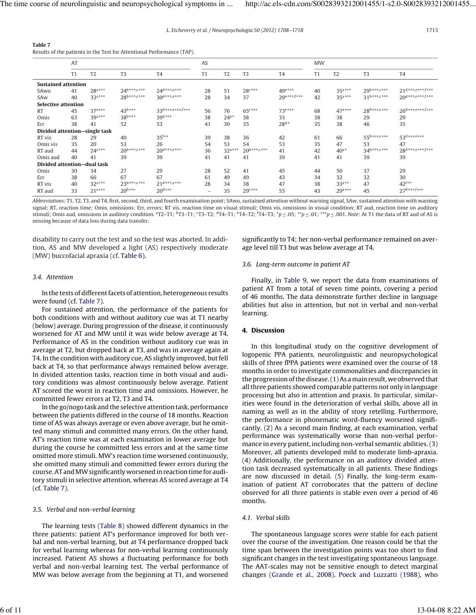Table 7

Results of the patients in the Test for Attentional Performance (TAP).

|                               | AT |                |                   |                     | AS                       |                |                  |                | <b>MW</b> |                |                   |                         |
|-------------------------------|----|----------------|-------------------|---------------------|--------------------------|----------------|------------------|----------------|-----------|----------------|-------------------|-------------------------|
|                               | T1 | T <sub>2</sub> | T <sub>3</sub>    | T <sub>4</sub>      | T <sub>1</sub>           | T <sub>2</sub> | T <sub>3</sub>   | T <sub>4</sub> | T1        | T <sub>2</sub> | T <sub>3</sub>    | T <sub>4</sub>          |
| <b>Sustained attention</b>    |    |                |                   |                     |                          |                |                  |                |           |                |                   |                         |
| SAwo                          | 41 | $28^{a***}$    | $24^{b***,c***}$  | $24^{d***,e***}$    | 28                       | 51             | $28c***$         | $49e***$       | 40        | $35^{a***}$    | $29^{b***,c***}$  | $21^{d***,e***,f***}$   |
| SAw                           | 40 | $33^{a***}$    | $28^{b***, c***}$ | $30^{d***, e***}$   | 28                       | 34             | 37               | 29e***,f***    | 42        | $35^{a***}$    | $31^{b***, c***}$ | $20^{d***, e***, f***}$ |
| <b>Selective attention</b>    |    |                |                   |                     |                          |                |                  |                |           |                |                   |                         |
| <b>RT</b>                     | 45 | $37^{a***}$    | $43^{b***}$       | $33d***e***,f***$   | 56                       | 76             | $65^{c***}$      | $73^{e***}$    | 68        | $47^{a***}$    | $28^{b***,c***}$  | $26^{d***,e***,f***}$   |
| Omis                          | 63 | $39^{a***}$    | $38^{b***}$       | $39^{d***}$         | 38                       | $24^{a*}$      | 38               | 33             | 38        | 38             | 29                | 29                      |
| Err                           | 38 | 41             | 52                | 53                  | 41                       | 30             | 35               | $28^{d*}$      | 35        | 38             | 46                | 35                      |
| Divided attention-single task |    |                |                   |                     |                          |                |                  |                |           |                |                   |                         |
| RT vis                        | 28 | 29             | 40                | $35$ <sup>f**</sup> | 39                       | 38             | 36               | 42             | 61        | 66             | $55^{b***, c***}$ | $53^{d***, e***}$       |
| Omis vis                      | 35 | 20             | 53                | 26                  | 54                       | 53             | 54               | 53             | 35        | 47             | 53                | 47                      |
| RT aud                        | 44 | $24^{a***}$    | $20^{b***, c***}$ | $20^{d***,e***}$    | 36                       | $32^{a***}$    | $20^{b***,c***}$ | 41             | 42        | $40^{a*}$      | $34^{b***,c***}$  | $28^{d***,e***,f***}$   |
| Omis aud                      | 40 | 41             | 39                | 39                  | 41                       | 41             | 41               | 39             | 41        | 41             | 39                | 39                      |
| Divided attention-dual task   |    |                |                   |                     |                          |                |                  |                |           |                |                   |                         |
| Omis                          | 30 | 34             | 27                | 29                  | 28                       | 52             | 41               | 45             | 44        | 50             | 37                | 29                      |
| Err                           | 38 | 66             | 67                | 67                  | 61                       | 49             | 49               | 43             | 34        | 32             | 32                | 30                      |
| RT vis                        | 40 | $32^{a***}$    | $23^{b***,c***}$  | $21^{d***,e***}$    | 28                       | 34             | 38               | 47             | 38        | $33^{a**}$     | 47                | $42^{f**}$              |
| RT aud                        | 33 | $21^{a***}$    | $20^{b***}$       | $20^{d***}$         | $\overline{\phantom{0}}$ | 35             | $29^{c***}$      | 55             | 43        | $29^{a***}$    | 45                | $27^{d***,f***}$        |

Abbreviations: T1, T2, T3, and T4, first, second, third, and fourth examination point; SAwo, sustained attention without warning signal, SAw, sustained attention with warning signal; RT, reaction time; Omis, omissions; Err, errors; RT vis, reaction time on visual stimuli; Omis vis, omissions in visual condition; RT aud, reaction time on auditory stimuli; Omis aud, omissions in auditory condition. <sup>a</sup>T2–T1; <sup>b</sup>T3–T1; <sup>c</sup>T3–T2; <sup>d</sup>T4–T1; <sup>e</sup>T4–T2; <sup>f</sup>T4–T3; \*p ≤ .05; \*\*p ≤ .01; \*\*\*p ≤ .001. Note: At T1 the data of RT aud of AS is missing because of data loss during data transfer.

disability to carry out the test and so the test was aborted. In addition, AS and MW developed a light (AS) respectively moderate (MW) buccofacial apraxia (cf. Table 6).

# significantly to T4; her non-verbal performance remained on average level till T3 but was below average at T4.

# 3.4. Attention

In the tests of different facets of attention, heterogeneous results were found (cf. Table 7).

For sustained attention, the performance of the patients for both conditions with and without auditory cue was at T1 nearby (below) average. During progression of the disease, it continuously worsened for AT and MW until it was wide below average at T4. Performance of AS in the condition without auditory cue was in average at T2, but dropped back at T3, and was in average again at T4. In the condition with auditory cue, AS slightly improved, but fell back at T4, so that performance always remained below average. In divided attention tasks, reaction time in both visual and auditory conditions was almost continuously below average. Patient AT scored the worst in reaction time and omissions. However, he committed fewer errors at T2, T3 and T4.

In the go/nogo task and the selective attention task, performance between the patients differed in the course of 18 months. Reaction time of AS was always average or even above average, but he omitted many stimuli and committed many errors. On the other hand, AT's reaction time was at each examination in lower average but during the course he committed less errors and at the same time omitted more stimuli. MW's reaction time worsened continuously, she omitted many stimuli and committed fewer errors during the course. AT and MW significantly worsened in reaction time for auditory stimuli in selective attention, whereas AS scored average at T4 (cf. Table 7).

# 3.5. Verbal and non-verbal learning

The learning tests (Table 8) showed different dynamics in the three patients: patient AT's performance improved for both verbal and non-verbal learning, but at T4 performance dropped back for verbal learning whereas for non-verbal learning continuously increased. Patient AS shows a fluctuating performance for both verbal and non-verbal learning test. The verbal performance of MW was below average from the beginning at T1, and worsened

# 3.6. Long-term outcome in patient AT

Finally, in Table 9, we report the data from examinations of patient AT from a total of seven time points, covering a period of 46 months. The data demonstrate further decline in language abilities but also in attention, but not in verbal and non-verbal learning.

# 4. Discussion

In this longitudinal study on the cognitive development of logopenic PPA patients, neurolinguistic and neuropsychological skills of three fPPA patients were examined over the course of 18 months in order to investigate commonalities and discrepancies in the progression of the disease. (1) As a main result, we observed that all three patients showed comparable patterns not only in language processing but also in attention and praxis. In particular, similarities were found in the deterioration of verbal skills, above all in naming as well as in the ability of story retelling. Furthermore, the performance in phonematic word-fluency worsened significantly. (2) As a second main finding, at each examination, verbal performance was systematically worse than non-verbal performance in every patient, including non-verbal semantic abilities. (3) Moreover, all patients developed mild to moderate limb-apraxia. (4) Additionally, the performance on an auditory divided attention task decreased systematically in all patients. These findings are now discussed in detail. (5) Finally, the long-term examination of patient AT corroborates that the pattern of decline observed for all three patients is stable even over a period of 46 months.

#### 4.1. Verbal skills

The spontaneous language scores were stable for each patient over the course of the investigation. One reason could be that the time span between the investigation points was too short to find significant changes in the test investigating spontaneous language. The AAT-scales may not be sensitive enough to detect marginal changes (Grande et al., 2008). Poeck and Luzzatti (1988), who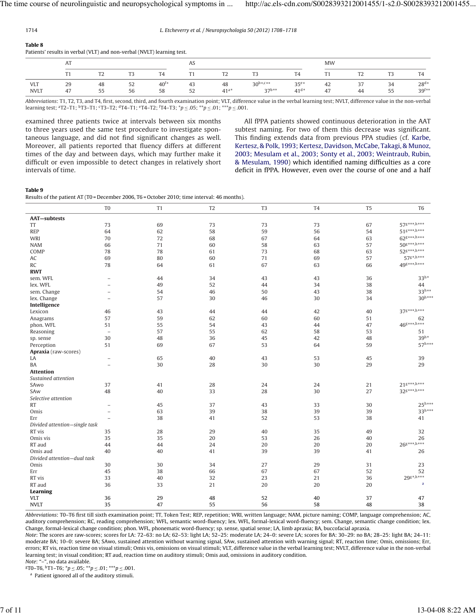# Table 8

Patients' results in verbal (VLT) and non-verbal (NVLT) learning test.

|                           | AT       |                              |                |                 |                |                  |                                        |                        | <b>MW</b> |              |                |                       |
|---------------------------|----------|------------------------------|----------------|-----------------|----------------|------------------|----------------------------------------|------------------------|-----------|--------------|----------------|-----------------------|
|                           | FIRM 4   | T <sub>2</sub><br>$\sqrt{2}$ | T <sub>3</sub> | T <sub>4</sub>  | T <sub>1</sub> | T2<br>$\sqrt{2}$ | T <sub>3</sub>                         | T <sub>4</sub>         | TP-1      | T2<br>$\sim$ | T <sub>3</sub> | T <sub>4</sub>        |
| <b>VLT</b><br><b>NVLT</b> | 29<br>47 | 48<br>55                     | 52<br>56       | $40^{f*}$<br>58 | 43<br>52       | 48<br>$41^{a*}$  | $30^{b*.c**}$<br>$27b**$<br><b>J</b> I | $35^{e*}$<br>$41^{d*}$ | 42<br>47  | 37<br>44     | 34<br>55       | $28^{d*}$<br>$39f***$ |

Abbreviations: T1, T2, T3, and T4, first, second, third, and fourth examination point; VLT, difference value in the verbal learning test; NVLT, difference value in the non-verbal learning test; <sup>a</sup>T2–T1; <sup>b</sup>T3–T1; <sup>c</sup>T3–T2; <sup>d</sup>T4–T1; <sup>e</sup>T4–T2; <sup>f</sup>T4–T3; \* $p \leq .05$ ; \*\* $p \leq .01$ ; \*\*\* $p \leq .001$ .

examined three patients twice at intervals between six months to three years used the same test procedure to investigate spontaneous language, and did not find significant changes as well. Moreover, all patients reported that fluency differs at different times of the day and between days, which may further make it difficult or even impossible to detect changes in relatively short intervals of time.

All fPPA patients showed continuous deterioration in the AAT subtest naming. For two of them this decrease was significant. This finding extends data from previous PPA studies (cf. Karbe, Kertesz, & Polk, 1993; Kertesz, Davidson, McCabe, Takagi, & Munoz, 2003; Mesulam et al., 2003; Sonty et al., 2003; Weintraub, Rubin, & Mesulam, 1990) which identified naming difficulties as a core deficit in fPPA. However, even over the course of one and a half

#### Table 9

Results of the patient AT (T0 = December 2006, T6 = October 2010; time interval: 46 months).

|                               | T <sub>0</sub>           | T1 | T <sub>2</sub> | T <sub>3</sub> | T <sub>4</sub> | T <sub>5</sub> | T <sub>6</sub>    |
|-------------------------------|--------------------------|----|----------------|----------------|----------------|----------------|-------------------|
| <b>AAT-subtests</b>           |                          |    |                |                |                |                |                   |
| <b>TT</b>                     | 73                       | 69 | 73             | 73             | 73             | 67             | $57^{g***, h***}$ |
| <b>REP</b>                    | 64                       | 62 | 58             | 59             | 56             | 54             | $51^{g***, h***}$ |
| WRI                           | 70                       | 72 | 68             | 67             | 64             | 63             | 62g***,h***       |
| <b>NAM</b>                    | 66                       | 71 | 60             | 58             | 63             | 57             | $50^{g***,h***}$  |
| COMP                          | 78                       | 78 | 61             | 73             | 68             | 63             | $52^{g***,h***}$  |
| AC                            | 69                       | 80 | 60             | 71             | 69             | 57             | $57^{g*,h***}$    |
| <b>RC</b>                     | 78                       | 64 | 61             | 67             | 63             | 66             | 49g***,h***       |
| <b>RWT</b>                    |                          |    |                |                |                |                |                   |
| sem. WFL                      | $\qquad \qquad -$        | 44 | 34             | 43             | 43             | 36             | $33^{h*}$         |
| lex. WFL                      | $\overline{a}$           | 49 | 52             | 44             | 34             | 38             | 44                |
| sem. Change                   | $\qquad \qquad -$        | 54 | 46             | 50             | 43             | 38             | $33^{h**}$        |
| lex. Change                   | $\overline{a}$           | 57 | 30             | 46             | 30             | 34             | $30^{h***}$       |
| Intelligence                  |                          |    |                |                |                |                |                   |
| Lexicon                       | 46                       | 43 | 44             | 44             | 42             | 40             | $37^{g***,h***}$  |
| Anagrams                      | 57                       | 59 | 62             | 60             | 60             | 51             | 62                |
| phon. WFL                     | 51                       | 55 | 54             | 43             | 44             | 47             | $46^{g***,h***}$  |
| Reasoning                     | $\equiv$                 | 57 | 55             | 62             | 58             | 53             | 51                |
| sp. sense                     | 30                       | 48 | 36             | 45             | 42             | 48             | $39h*$            |
| Perception                    | 51                       | 69 | 67             | 53             | 64             | 59             | $57^{h***}$       |
| Apraxia (raw-scores)          |                          |    |                |                |                |                |                   |
| LA                            | $\overline{\phantom{0}}$ | 65 | 40             | 43             | 53             | 45             | 39                |
| BA                            | $\overline{\phantom{0}}$ | 30 | 28             | 30             | 30             | 29             | 29                |
| <b>Attention</b>              |                          |    |                |                |                |                |                   |
| Sustained attention           |                          |    |                |                |                |                |                   |
| SAwo                          | 37                       | 41 | 28             | 24             | 24             | 21             | $21^{g***,h***}$  |
| SAw                           | 48                       | 40 | 33             | 28             | 30             | 27             | $32^{g***,h***}$  |
| Selective attention           |                          |    |                |                |                |                |                   |
| <b>RT</b>                     | $\qquad \qquad -$        | 45 | 37             | 43             | 33             | 30             | $25^{h***}$       |
| Omis                          | $\overline{a}$           | 63 | 39             | 38             | 39             | 39             | $33^{h***}$       |
| Err                           | $\overline{a}$           | 38 | 41             | 52             | 53             | 38             | 41                |
| Divided attention-single task |                          |    |                |                |                |                |                   |
| RT vis                        | 35                       | 28 | 29             | 40             | 35             | 49             | 32                |
| Omis vis                      | 35                       | 35 | 20             | 53             | 26             | 40             | 26                |
| RT aud                        | 44                       | 44 | 24             | 20             | 20             | 20             | $26^{g***,h***}$  |
| Omis aud                      | 40                       | 40 | 41             | 39             | 39             | 41             | 26                |
| Divided attention-dual task   |                          |    |                |                |                |                |                   |
| Omis                          | 30                       | 30 | 34             | 27             | 29             | 31             | 23                |
|                               |                          |    |                | 67             | 67             |                | 52                |
| Err<br>RT vis                 | 45                       | 38 | 66             |                | 21             | 52             | 29g*,h***         |
|                               | 33                       | 40 | 32             | 23             |                | 36             | $\mathbf a$       |
| RT aud                        | 36                       | 33 | 21             | 20             | 20             | 20             |                   |
| Learning                      |                          |    |                |                |                |                |                   |
| <b>VLT</b>                    | 36                       | 29 | 48             | 52             | 40             | 37             | 47                |
| <b>NVLT</b>                   | 35                       | 47 | 55             | 56             | 58             | 48             | 38                |

Abbreviations: T0–T6 first till sixth examination point; TT, Token Test; REP, repetition; WRI, written language; NAM, picture naming; COMP, language comprehension; AC, auditory comprehension; RC, reading comprehension; WFL, semantic word-fluency; lex. WFL, formal-lexical word-fluency; sem. Change, semantic change condition; lex. Change, formal-lexical change condition; phon. WFL, phonematic word-fluency; sp. sense, spatial sense; LA, limb apraxia; BA, buccofacial apraxia.

Note: The scores are raw-scores; scores for LA: 72–63: no LA; 62–53: light LA; 52–25: moderate LA; 24–0: severe LA; scores for BA: 30–29: no BA; 28–25: light BA; 24–11: moderate BA; 10–0: severe BA; SAwo, sustained attention without warning signal, SAw, sustained attention with warning signal; RT, reaction time; Omis, omissions; Err, errors; RT vis, reaction time on visual stimuli; Omis vis, omissions on visual stimuli; VLT, difference value in the verbal learning test; NVLT, difference value in the non-verbal learning test; in visual condition; RT aud, reaction time on auditory stimuli; Omis aud, omissions in auditory condition.

Note: "–", no data available.

 $^g$ T0–T6,  $^h$ T1–T6;  $^*p \leq .05$ ;  $^{**}p \leq .01$ ;  $^{***}p \leq .001$ .

<sup>a</sup> Patient ignored all of the auditory stimuli.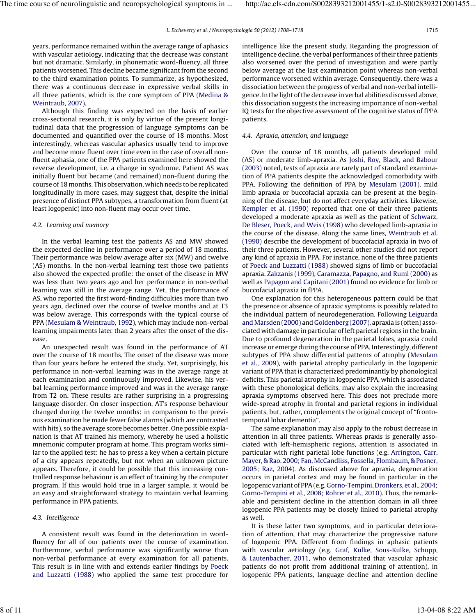years, performance remained within the average range of aphasics with vascular aetiology, indicating that the decrease was constant but not dramatic. Similarly, in phonematic word-fluency, all three patients worsened. This decline became significant from the second to the third examination points. To summarize, as hypothesized, there was a continuous decrease in expressive verbal skills in all three patients, which is the core symptom of PPA (Medina & Weintraub, 2007).

Although this finding was expected on the basis of earlier cross-sectional research, it is only by virtue of the present longitudinal data that the progression of language symptoms can be documented and quantified over the course of 18 months. Most interestingly, whereas vascular aphasics usually tend to improve and become more fluent over time even in the case of overall nonfluent aphasia, one of the PPA patients examined here showed the reverse development, i.e. a change in syndrome. Patient AS was initially fluent but became (and remained) non-fluent during the course of 18 months. This observation, which needs to be replicated longitudinally in more cases, may suggest that, despite the initial presence of distinct PPA subtypes, a transformation from fluent (at least logopenic) into non-fluent may occur over time.

#### 4.2. Learning and memory

In the verbal learning test the patients AS and MW showed the expected decline in performance over a period of 18 months. Their performance was below average after six (MW) and twelve (AS) months. In the non-verbal learning test those two patients also showed the expected profile: the onset of the disease in MW was less than two years ago and her performance in non-verbal learning was still in the average range. Yet, the performance of AS, who reported the first word-finding difficulties more than two years ago, declined over the course of twelve months and at T3 was below average. This corresponds with the typical course of PPA (Mesulam & Weintraub, 1992), which may include non-verbal learning impairments later than 2 years after the onset of the disease.

An unexpected result was found in the performance of AT over the course of 18 months. The onset of the disease was more than four years before he entered the study. Yet, surprisingly, his performance in non-verbal learning was in the average range at each examination and continuously improved. Likewise, his verbal learning performance improved and was in the average range from T2 on. These results are rather surprising in a progressing language disorder. On closer inspection, AT's response behaviour changed during the twelve months: in comparison to the previous examination he made fewer false alarms (which are contrasted with hits), so the average score becomes better. One possible explanation is that AT trained his memory, whereby he used a holistic mnemonic computer program at home. This program works similar to the applied test: he has to press a key when a certain picture of a city appears repeatedly, but not when an unknown picture appears. Therefore, it could be possible that this increasing controlled response behaviour is an effect of training by the computer program. If this would hold true in a larger sample, it would be an easy and straightforward strategy to maintain verbal learning performance in PPA patients.

#### 4.3. Intelligence

A consistent result was found in the deterioration in wordfluency for all of our patients over the course of examination. Furthermore, verbal performance was significantly worse than non-verbal performance at every examination for all patients. This result is in line with and extends earlier findings by Poeck and Luzzatti (1988) who applied the same test procedure for intelligence like the present study. Regarding the progression of intelligence decline, the verbal performances of their three patients also worsened over the period of investigation and were partly below average at the last examination point whereas non-verbal performance worsened within average. Consequently, there was a dissociation between the progress of verbal and non-verbal intelligence.Inthe light ofthe decrease inverbal abilities discussed above, this dissociation suggests the increasing importance of non-verbal IQ tests for the objective assessment of the cognitive status of fPPA patients.

#### 4.4. Apraxia, attention, and language

Over the course of 18 months, all patients developed mild (AS) or moderate limb-apraxia. As Joshi, Roy, Black, and Babour (2003) noted, tests of apraxia are rarely part of standard examination of PPA patients despite the acknowledged comorbidity with PPA. Following the definition of PPA by Mesulam (2001), mild limb apraxia or buccofacial apraxia can be present at the beginning of the disease, but do not affect everyday activities. Likewise, Kempler et al. (1990) reported that one of their three patients developed a moderate apraxia as well as the patient of Schwarz, De Bleser, Poeck, and Weis (1998) who developed limb-apraxia in the course of the disease. Along the same lines, Weintraub et al. (1990) describe the development of buccofacial apraxia in two of their three patients. However, several other studies did not report any kind of apraxia in PPA. For instance, none of the three patients of Poeck and Luzzatti (1988) showed signs of limb or buccofacial apraxia. Zakzanis (1999), Caramazza, Papagno, and Ruml (2000) as well as Papagno and Capitani (2001) found no evidence for limb or buccofacial apraxia in fPPA.

One explanation for this heterogeneous pattern could be that the presence or absence of apraxic symptoms is possibly related to the individual pattern of neurodegeneration. Following Leiguarda and Marsden (2000) and Goldenberg (2007), apraxia is (often) associated with damage in particular of left parietal regions in the brain. Due to profound degeneration in the parietal lobes, apraxia could increase or emerge during the course of PPA. Interestingly, different subtypes of PPA show differential patterns of atrophy (Mesulam et al., 2009), with parietal atrophy particularly in the logopenic variant of PPA that is characterized predominantly by phonological deficits. This parietal atrophy in logopenic PPA, which is associated with these phonological deficits, may also explain the increasing apraxia symptoms observed here. This does not preclude more wide-spread atrophy in frontal and parietal regions in individual patients, but, rather, complements the original concept of "frontotemporal lobar dementia".

The same explanation may also apply to the robust decrease in attention in all three patients. Whereas praxis is generally associated with left-hemispheric regions, attention is associated in particular with right parietal lobe functions (e.g. Arrington, Carr, Mayer, & Rao, 2000; Fan, McCandliss, Fossella, Flombaum, & Posner, 2005; Raz, 2004). As discussed above for apraxia, degeneration occurs in parietal cortex and may be found in particular in the logopenic variant of PPA(e.g. Gorno-Tempini, Dronkers, et al., 2004; Gorno-Tempini et al., 2008; Rohrer et al., 2010). Thus, the remarkable and persistent decline in the attention domain in all three logopenic PPA patients may be closely linked to parietal atrophy as well.

It is these latter two symptoms, and in particular deterioration of attention, that may characterize the progressive nature of logopenic PPA. Different from findings in aphasic patients with vascular aetiology (e.g. Graf, Kulke, Sous-Kulke, Schupp, & Lautenbacher, 2011, who demonstrated that vascular aphasic patients do not profit from additional training of attention), in logopenic PPA patients, language decline and attention decline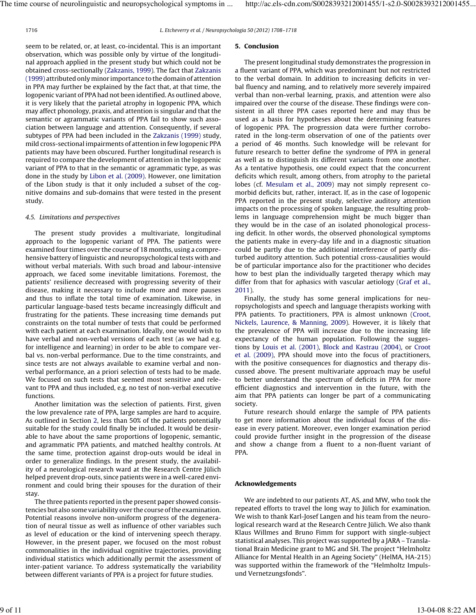seem to be related, or, at least, co-incidental. This is an important observation, which was possible only by virtue of the longitudinal approach applied in the present study but which could not be obtained cross-sectionally (Zakzanis, 1999). The fact that Zakzanis (1999) attributed only minor importance to the domain of attention in PPA may further be explained by the fact that, at that time, the logopenic variant of PPA had not been identified. As outlined above, it is very likely that the parietal atrophy in logopenic PPA, which may affect phonology, praxis, and attention is singular and that the semantic or agrammatic variants of PPA fail to show such association between language and attention. Consequently, if several subtypes of PPA had been included in the Zakzanis (1999) study, mild cross-sectional impairments of attention in few logopenic PPA patients may have been obscured. Further longitudinal research is required to compare the development of attention in the logopenic variant of PPA to that in the semantic or agrammatic type, as was done in the study by Libon et al. (2009). However, one limitation of the Libon study is that it only included a subset of the cognitive domains and sub-domains that were tested in the present study.

#### 4.5. Limitations and perspectives

The present study provides a multivariate, longitudinal approach to the logopenic variant of PPA. The patients were examined four times over the course of 18 months, using a comprehensive battery of linguistic and neuropsychological tests with and without verbal materials. With such broad and labour-intensive approach, we faced some inevitable limitations. Foremost, the patients' resilience decreased with progressing severity of their disease, making it necessary to include more and more pauses and thus to inflate the total time of examination. Likewise, in particular language-based tests became increasingly difficult and frustrating for the patients. These increasing time demands put constraints on the total number of tests that could be performed with each patient at each examination. Ideally, one would wish to have verbal and non-verbal versions of each test (as we had e.g. for intelligence and learning) in order to be able to compare verbal vs. non-verbal performance. Due to the time constraints, and since tests are not always available to examine verbal and nonverbal performance, an a priori selection of tests had to be made. We focused on such tests that seemed most sensitive and relevant to PPA and thus included, e.g. no test of non-verbal executive functions.

Another limitation was the selection of patients. First, given the low prevalence rate of PPA, large samples are hard to acquire. As outlined in Section 2, less than 50% of the patients potentially suitable for the study could finally be included. It would be desirable to have about the same proportions of logopenic, semantic, and agrammatic PPA patients, and matched healthy controls. At the same time, protection against drop-outs would be ideal in order to generalize findings. In the present study, the availability of a neurological research ward at the Research Centre Jülich helped prevent drop-outs, since patients were in a well-cared environment and could bring their spouses for the duration of their stay.

The three patients reported in the present paper showed consistencies but also some variability over the course of the examination. Potential reasons involve non-uniform progress of the degeneration of neural tissue as well as influence of other variables such as level of education or the kind of intervening speech therapy. However, in the present paper, we focused on the most robust commonalities in the individual cognitive trajectories, providing individual statistics which additionally permit the assessment of inter-patient variance. To address systematically the variability between different variants of PPA is a project for future studies.

# 5. Conclusion

The present longitudinal study demonstrates the progression in a fluent variant of PPA, which was predominant but not restricted to the verbal domain. In addition to increasing deficits in verbal fluency and naming, and to relatively more severely impaired verbal than non-verbal learning, praxis, and attention were also impaired over the course of the disease. These findings were consistent in all three PPA cases reported here and may thus be used as a basis for hypotheses about the determining features of logopenic PPA. The progression data were further corroborated in the long-term observation of one of the patients over a period of 46 months. Such knowledge will be relevant for future research to better define the syndrome of PPA in general as well as to distinguish its different variants from one another. As a tentative hypothesis, one could expect that the concurrent deficits which result, among others, from atrophy to the parietal lobes (cf. Mesulam et al., 2009) may not simply represent comorbid deficits but, rather, interact. If, as in the case of logopenic PPA reported in the present study, selective auditory attention impacts on the processing of spoken language, the resulting problems in language comprehension might be much bigger than they would be in the case of an isolated phonological processing deficit. In other words, the observed phonological symptoms the patients make in every-day life and in a diagnostic situation could be partly due to the additional interference of partly disturbed auditory attention. Such potential cross-causalities would be of particular importance also for the practitioner who decides how to best plan the individually targeted therapy which may differ from that for aphasics with vascular aetiology (Graf et al., 2011).

Finally, the study has some general implications for neuropsychologists and speech and language therapists working with PPA patients. To practitioners, PPA is almost unknown (Croot, Nickels, Laurence, & Manning, 2009). However, it is likely that the prevalence of PPA will increase due to the increasing life expectancy of the human population. Following the suggestions by Louis et al. (2001), Block and Kastrau (2004), or Croot et al. (2009), PPA should move into the focus of practitioners, with the positive consequences for diagnostics and therapy discussed above. The present multivariate approach may be useful to better understand the spectrum of deficits in PPA for more efficient diagnostics and intervention in the future, with the aim that PPA patients can longer be part of a communicating society.

Future research should enlarge the sample of PPA patients to get more information about the individual focus of the disease in every patient. Moreover, even longer examination period could provide further insight in the progression of the disease and show a change from a fluent to a non-fluent variant of PPA.

#### Acknowledgements

We are indebted to our patients AT, AS, and MW, who took the repeated efforts to travel the long way to Jülich for examination. We wish to thank Karl-Josef Langen and his team from the neurological research ward at the Research Centre Jülich. We also thank Klaus Willmes and Bruno Fimm for support with single-subject statistical analyses. This project was supported by a JARA – Translational Brain Medicine grant to MG and SH. The project "Helmholtz Alliance for Mental Health in an Ageing Society" (HelMA, HA-215) was supported within the framework of the "Helmholtz Impulsund Vernetzungsfonds".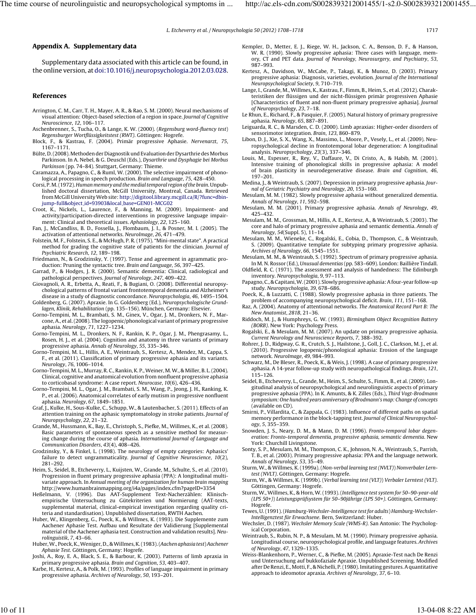### Appendix A. Supplementary data

Supplementary data associated with this article can be found, in the online version, at doi:10.1016/j.neuropsychologia.2012.03.028.

#### References

- Arrington, C. M., Carr, T. H., Mayer, A. R., & Rao, S. M. (2000). Neural mechanisms of visual attention: Object-based selection of a region in space. Journal of Cognitive Neuroscience, 12, 106–117.
- Aschenbrenner, S., Tucha, O., & Lange, K. W. (2000). (Regensburg word-fluency test) Regensburger Wortflüssigkeitstest (RWT). Göttingen: Hogrefe.
- Block, F., & Kastrau, F. (2004). Primär progressive Aphasie. Nervenarzt, 75, 1167–1171.
- Bülte, D. (2008). Methoden der Diagnostik und Evaluation der Dysarthrie des Morbus Parkinson. In A. Nebel, & G. Deuschl (Eds.), Dysarthrie und Dysphagie bei Morbus Parkinson (pp. 74–84). Stuttgart, Germany: Thieme.
- Caramazza, A., Papagno, C., & Ruml, W. (2000). The selective impairment of phonological processing in speech production. Brain and Language, 75, 428–450.
- Corsi, P.M.(1972). Human memory and the medialtemporal region ofthe brain. Unpub-lished doctoral dissertation, McGill University, Montreal, Canada. Retrieved from McGill University Web site: http://digitool.library.mcgill.ca/R/?func=dbinjump-full&object id=93903&local base=GEN01-MCG02
- Croot, K., Nickels, L., Laurence, F., & Manning, M. (2009). Impairment- and activity/participation-directed interventions in progressive language impairment: Clinical and theoretical issues. Aphasiology, 22, 125–160.
- Fan, J., McCandliss, B. D., Fossella, J., Flombaum, J. I., & Posner, M. I. (2005). The
- activation of attentional networks. NeuroImage, 26, 471–479. Folstein, M. F., Folstein, S. E., & McHugh, P. R. (1975). "Mini-mental state". A practical method for grading the cognitive state of patients for the clinician. Journal of Psychiatric Research, 12, 189–198.
- Friedmann, N., & Grodzinsky, Y. (1997). Tense and agreement in agrammatic production: Pruning the syntactic tree. Brain and Language, 56, 397–425.
- Garrad, P., & Hodges, J. R. (2000). Semantic dementia: Clinical, radiological and pathological perspectives. Journal of Neurology, 247, 409–422.
- Giovagnoli, A. R., Erbetta, A., Reati, F., & Bugiani, O. (2008). Differential neuropsychological patterns of frontal variant frontotemporal dementia and Alzheimer's disease in a study of diagnostic concordance. Neuropsychologia, 46, 1495–1504.
- Goldenberg, G. (2007). Apraxie. In G. Goldenberg (Ed.), Neuropsychologische Grundlagen, Klinik, Rehabilitation (pp. 135–156). München, Germany: Elsevier.
- Gorno-Tempini, M. L., Brambati, S. M., Ginex, V., Ogar, J. M., Dronkers, N. F., Marcone, A., et al.(2008). The logopenic/phonological variant of primary progressive aphasia. Neurology, 71, 1227–1234.
- Gorno-Tempini, M. L., Dronkers, N. F., Rankin, K. P., Ogar, J. M., Phengrasamy, L., Rosen, H. J., et al. (2004). Cognition and anatomy in three variants of primary progressive aphasia. Annals of Neurology, 55, 335–346.
- Gorno-Tempini, M. L., Hillis, A. E., Weintraub, S., Kertesz, A., Mendez, M., Cappa, S. F., et al. (2011). Classification of primary progressive aphasia and its variants. Neurology, 76, 1006–1014.
- Gorno-Tempini, M. L., Murray, R. C., Rankin, K. P.,Weiner, M.W., & Miller, B. L.(2004). Clinical, cognitive and anatomical evolution from nonfluent progressive aphasia to corticobasal syndrome: A case report. Neurocase, 10(6), 426–436.
- Gorno-Tempini, M. L., Ogar, J. M., Brambati, S. M., Wang, P., Jeong, J. H., Ranking, K. P., et al. (2006). Anatomical correlates of early mutism in progressive nonfluent aphasia. Neurology, 67, 1849–1851.
- Graf, J., Kulke, H., Sous-Kulke, C., Schupp, W., & Lautenbacher, S. (2011). Effects of an attention training on the aphasic symptomatology in stroke patients. Journal of Neuropsychology, 22, 21–32.
- Grande, M., Hussmann, K., Bay, E., Christoph, S., Piefke, M., Willmes, K., et al. (2008). Basic parameters of spontaneous speech as a sensitive method for measuring change during the course of aphasia. International Journal of Language and Communication Disorders, 43(4), 408–426.
- Grodzinsky, Y., & Finkel, L. (1998). The neurology of empty categories: Aphasics' failure to detect ungrammaticality. Journal of Cognitive Neuroscience, 10(2), 281–292.
- Heim, S., Seidel, B., Etcheverry, L., Kuijsten, W., Grande, M., Schulte, S., et al. (2010). Progression in fluent primary progressive aphasia (PPA): A longitudinal multivariate approach. In Annual meeting of the organization for human brain mapping http://www.humanbrainmapping.org/i4a/pages/index.cfm?pageID=3354
- Heßelmann, V. (1996). Das AAT-Supplement Text-Nacherzählen: Klinischempirische Untersuchung zu Gütekriterien und Normierung (AAT-texts, supplemental material, clinical-empirical investigation regarding quality criteria and standardisation). Unpublished dissertation, RWTH Aachen.
- Huber, W., Klingenberg, G., Poeck, K., & Willmes, K. (1993). Die Supplemente zum Aachener Aphasie Test. Aufbau und Resultate der Validierung [Supplemental material of the Aachener aphasia test. Construction and validation results]. Neurolinguistik, 7, 43–66.
- Huber,W., Poeck,K.,Weniger, D., &Willmes,K.(1983).(Aachen aphasia test)Aachener Aphasie Test. Göttingen, Germany: Hogrefe.
- Joshi, A., Roy, E. A., Black, S. E., & Barbour, K. (2003). Patterns of limb apraxia in primary progressive aphasia. Brain and Cognition, 53, 403–407.
- Karbe, H., Kertesz, A., & Polk, M. (1993). Profiles of language impairment in primary progressive aphasia. Archives of Neurology, 50, 193–201.
- Kempler, D., Metter, E. J., Riege, W. H., Jackson, C. A., Benson, D. F., & Hanson, W. R. (1990). Slowly progressive aphasia: Three cases with language, memory, CT and PET data. Journal of Neurology, Neurosurgery, and Psychiatry, 53, 987–993.
- Kertesz, A., Davidson, W., McCabe, P., Takagi, K., & Munoz, D. (2003). Primary progressive aphasia: Diagnosis, varieties, evolution. Journal of the International Neuropsychological Society, 9, 710–719.
- Lange, I., Grande, M., Willmes, K., Kastrau, F., Fimm, B., Heim, S., et al.(2012). Charakteristiken der flüssigen und der nicht-flüssigen primär progressiven Aphasie [Characteristics of fluent and non-fluent primary progressive aphasia]. Journal of Neuropsychology, 23, 7–18.
- Le Rhun, E., Richard, F., & Pasquier, F. (2005). Natural history of primary progressive aphasia. Neurology, 65, 887–891.
- Leiguarda, R. C., & Marsden, C. D. (2000). Limb apraxias: Higher-order disorders of sensorimotor integration. Brain, 123, 860–879.
- Libon, D. J., Xie, S. X., Wang, X., Massimo, L., Moore, P., Vesely, L., et al. (2009). Neuropsychological decline in frontotemporal lobar degeneration: A longitudinal analysis. Neuropsychology, 23(3), 337–346.
- Louis, M., Espesser, R., Rey, V., Daffaure, V., Di Cristo, A., & Habib, M. (2001). Intensive training of phonological skills in progressive aphasia: A model of brain plasticity in neurodegenerative disease. Brain and Cognition, 46, 197–201.
- Medina, J., & Weintraub, S. (2007). Depression in primary progressive aphasia. Journal of Geriatric Psychiatry and Neurology, 20, 153–160.
- Mesulam, M. M. (1982). Slowly progressive aphasia without generalized dementia. Annals of Neurology, 11, 592–598.
- Mesulam, M. M. (2001). Primary progressive aphasia. Annals of Neurology, 49, 425–432.
- Mesulam, M. M., Grossman, M., Hillis, A. E., Kertesz, A., & Weintraub, S. (2003). The core and halo of primary progressive aphasia and semantic dementia. Annals of Neurology, 54(Suppl. 5), 11–14.
- Mesulam, M. M., Wieneke, C., Rogalski, E., Cobia, D., Thompson, C., & Weintraub, S. (2009). Quantitative template for subtyping primary progressive aphasia. Archives of Neurology, 66, 1545–1551.
- Mesulam, M. M., & Weintraub, S. (1992). Spectrum of primary progressive aphasia. In M. N. Rossor (Ed.), Unusual dementias (pp. 583–609). London: Baillière Tindall.
- Oldfield, R. C. (1971). The assessment and analysis of handedness: The Edinburgh inventory. Neuropsychologia, 9, 97–113.
- Papagno, C., & Capitani, W. (2001). Slowly progressive aphasia: A four-year follow-up study. Neuropsychologia, 39, 678–686.
- Poeck, K., & Luzzatti, C. (1988). Slowly progressive aphasia in three patients. The problem of accompanying neuropsychological deficit. Brain, 111, 151–168.
- Raz, A. (2004). Anatomy of attentional networks. The Anatomical Record Part B: The New Anatomist, 281B, 21–36.
- Riddoch, M. J., & Humphreys, G. W. (1993). Birmingham Object Recognition Battery (BORB). New York: Psychology Press.
- Rogalski, E., & Mesulam, M. M. (2007). An update on primary progressive aphasia. Current Neurology and Neuroscience Reports, 7, 388–392.
- Rohrer, J. D., Ridgway, G. R., Crutch, S. J., Hailstone, J., Goll, J. C., Clarkson, M. J., et al. (2010). Progressive logopenic/phonological aphasia: Erosion of the language network. NeuroImage, 49, 984–993.
- Schwarz, M., De Bleser, R., Poeck, K., & Weis, J. (1998). A case of primary progressive aphasia. A 14-year follow-up study with neuropathological findings. Brain, 121, 115–126.
- Seidel, B., Etcheverry, L., Grande, M., Heim, S., Schulte, S., Fimm, B., et al. (2009). Longitudinal analysis of neuropsychological and neurolinguistic aspects of primary progressive aphasia (PPA). In K. Amunts, & K. Zilles (Eds.), Third Vogt-Brodmann symposium: One hundred years anniversary of Brodmann's map: Change of concepts (available on CD).
- Smirni, P., Villardita, C., & Zappala, G. (1983). Influence of different paths on spatial memory performance in the block-tapping test. Journal of Clinical Neuropsychology, 5, 355–359.
- Snowden, J. S., Neary, D. M., & Mann, D. M. (1996). Fronto-temporal lobar degeneration: Fronto-temporal dementia, progressive aphasia, semantic dementia. New York: Churchill Livingstone.
- Sonty, S. P., Mesulam, M. M., Thompson, C. K., Johnson, N. A., Weintraub, S., Parrish, T. B., et al. (2003). Primary progressive aphasia: PPA and the language network. Annals of Neurology, 53, 35–49.
- Sturm, W., & Willmes, K. (1999a). (Non-verbal learning test (NVLT)) Nonverbaler Lerntest (NVLT). Göttingen, Germany: Hogrefe.
- Sturm, W., & Willmes, K. (1999b). (Verbal learning test (VLT)) Verbaler Lerntest (VLT). Göttingen, Germany: Hogrefe.
- Sturm, W., Willmes, K., & Horn, W.(1993).(Intelligence test system for 50–90-year-old (LPS 50+)) Leistungsprüfsystem für 50–90jährige (LPS 50+). Göttingen, Germany: Hogrefe.
- Tewes, U.(1991).(Hamburg-Wechsler-Intelligence test for adults) Hamburg-Wechsler-Intelligenztest für Erwachsene. Bern, Switzerland: Huber.
- Wechsler, D. (1987). Wechsler Memory Scale (WMS-R). San Antonio: The Psychological Corporation.
- Weintraub, S., Rubin, N. P., & Mesulam, M. M. (1990). Primary progressive aphasia. Longitudinal course, neuropsychological profile, and language features. Archives of Neurology, 47, 1329–1335.
- Weiss-Blankenhorn, P., Werner, C., & Piefke, M. (2005). Apraxie-Test nach De Renzi und Untersuchung auf bukkofaziale Apraxie. Unpublished Screening. Modified after De Renzi, E., Motti, F., & Nichelli, P. (1980). Imitating gestures. A quantitative approach to ideomotor apraxia. Archives of Neurology, 37, 6–10.